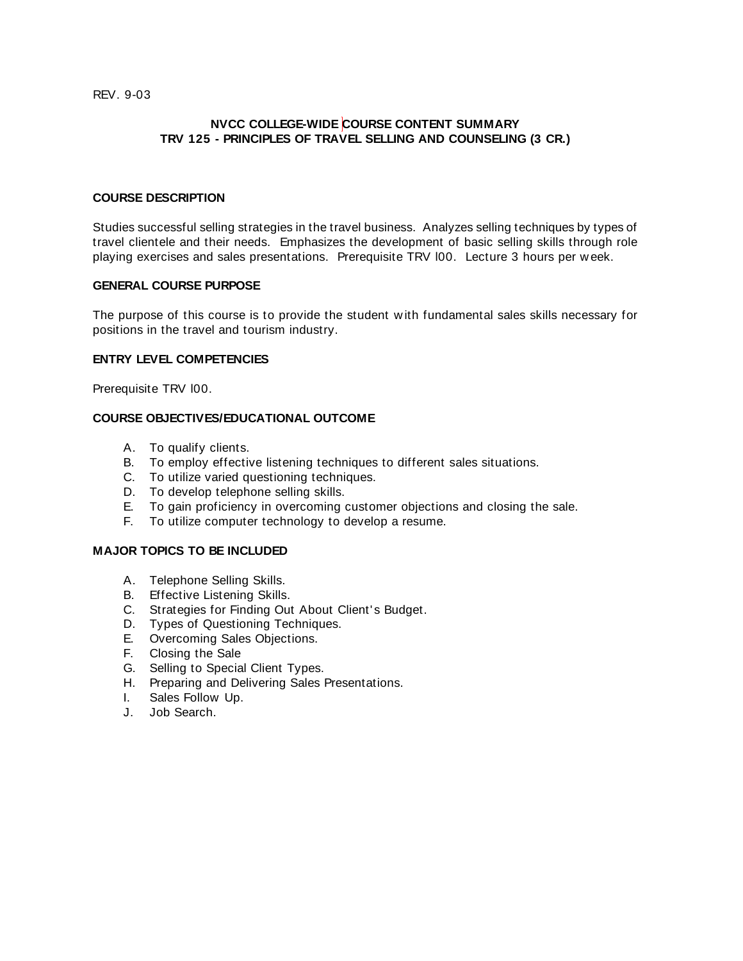REV. 9-03

## **NVCC COLLEGE-WIDE COURSE CONTENT SUMMARY TRV 125 - PRINCIPLES OF TRAVEL SELLING AND COUNSELING (3 CR.)**

### **COURSE DESCRIPTION**

Studies successful selling strategies in the travel business. Analyzes selling techniques by types of travel clientele and their needs. Emphasizes the development of basic selling skills through role playing exercises and sales presentations. Prerequisite TRV l00. Lecture 3 hours per w eek.

#### **GENERAL COURSE PURPOSE**

The purpose of this course is to provide the student w ith fundamental sales skills necessary for positions in the travel and tourism industry.

### **ENTRY LEVEL COMPETENCIES**

Prerequisite TRV l00.

# **COURSE OBJECTIVES/EDUCATIONAL OUTCOME**

- A. To qualify clients.
- B. To employ effective listening techniques to different sales situations.
- C. To utilize varied questioning techniques.
- D. To develop telephone selling skills.
- E. To gain proficiency in overcoming customer objections and closing the sale.
- F. To utilize computer technology to develop a resume.

#### **MAJOR TOPICS TO BE INCLUDED**

- A. Telephone Selling Skills.
- B. Effective Listening Skills.
- C. Strategies for Finding Out About Client' s Budget.
- D. Types of Questioning Techniques.
- E. Overcoming Sales Objections.
- F. Closing the Sale
- G. Selling to Special Client Types.
- H. Preparing and Delivering Sales Presentations.
- I. Sales Follow Up.
- J. Job Search.